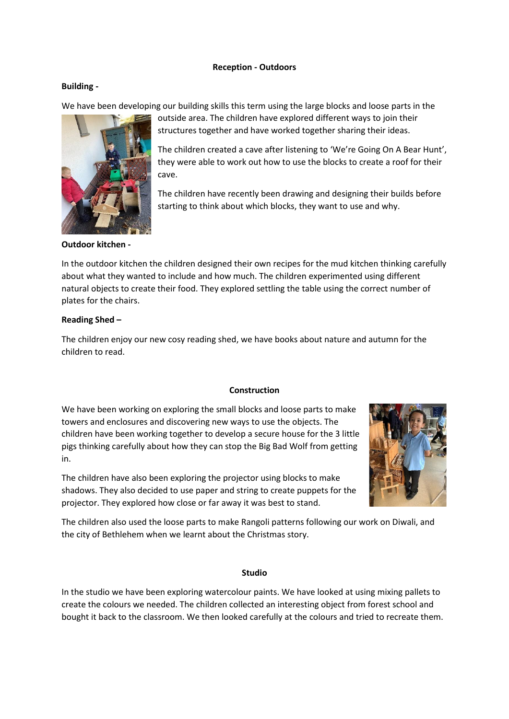# **Reception - Outdoors**

# **Building -**

We have been developing our building skills this term using the large blocks and loose parts in the



outside area. The children have explored different ways to join their structures together and have worked together sharing their ideas.

The children created a cave after listening to 'We're Going On A Bear Hunt', they were able to work out how to use the blocks to create a roof for their cave.

The children have recently been drawing and designing their builds before starting to think about which blocks, they want to use and why.

### **Outdoor kitchen -**

In the outdoor kitchen the children designed their own recipes for the mud kitchen thinking carefully about what they wanted to include and how much. The children experimented using different natural objects to create their food. They explored settling the table using the correct number of plates for the chairs.

# **Reading Shed –**

The children enjoy our new cosy reading shed, we have books about nature and autumn for the children to read.

# **Construction**

We have been working on exploring the small blocks and loose parts to make towers and enclosures and discovering new ways to use the objects. The children have been working together to develop a secure house for the 3 little pigs thinking carefully about how they can stop the Big Bad Wolf from getting in.

The children have also been exploring the projector using blocks to make shadows. They also decided to use paper and string to create puppets for the projector. They explored how close or far away it was best to stand.



The children also used the loose parts to make Rangoli patterns following our work on Diwali, and the city of Bethlehem when we learnt about the Christmas story.

#### **Studio**

In the studio we have been exploring watercolour paints. We have looked at using mixing pallets to create the colours we needed. The children collected an interesting object from forest school and bought it back to the classroom. We then looked carefully at the colours and tried to recreate them.